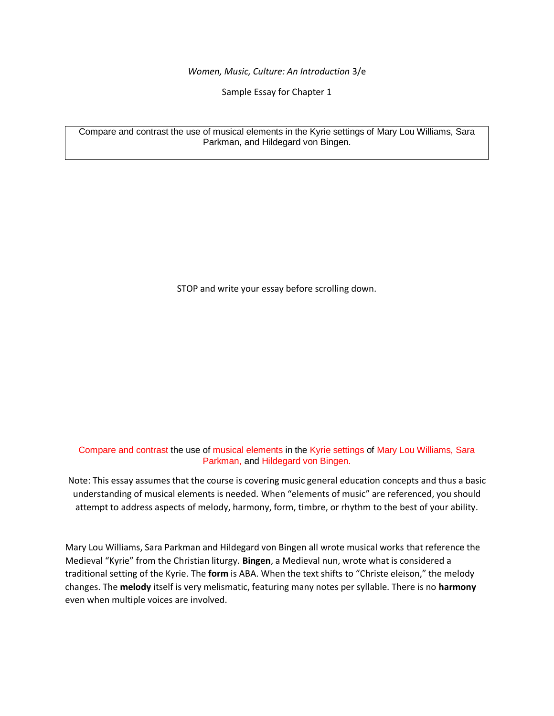*Women, Music, Culture: An Introduction* 3/e

Sample Essay for Chapter 1

Compare and contrast the use of musical elements in the Kyrie settings of Mary Lou Williams, Sara Parkman, and Hildegard von Bingen.

STOP and write your essay before scrolling down.

Compare and contrast the use of musical elements in the Kyrie settings of Mary Lou Williams, Sara Parkman, and Hildegard von Bingen.

Note: This essay assumes that the course is covering music general education concepts and thus a basic understanding of musical elements is needed. When "elements of music" are referenced, you should attempt to address aspects of melody, harmony, form, timbre, or rhythm to the best of your ability.

Mary Lou Williams, Sara Parkman and Hildegard von Bingen all wrote musical works that reference the Medieval "Kyrie" from the Christian liturgy. **Bingen**, a Medieval nun, wrote what is considered a traditional setting of the Kyrie. The **form** is ABA. When the text shifts to "Christe eleison," the melody changes. The **melody** itself is very melismatic, featuring many notes per syllable. There is no **harmony** even when multiple voices are involved.